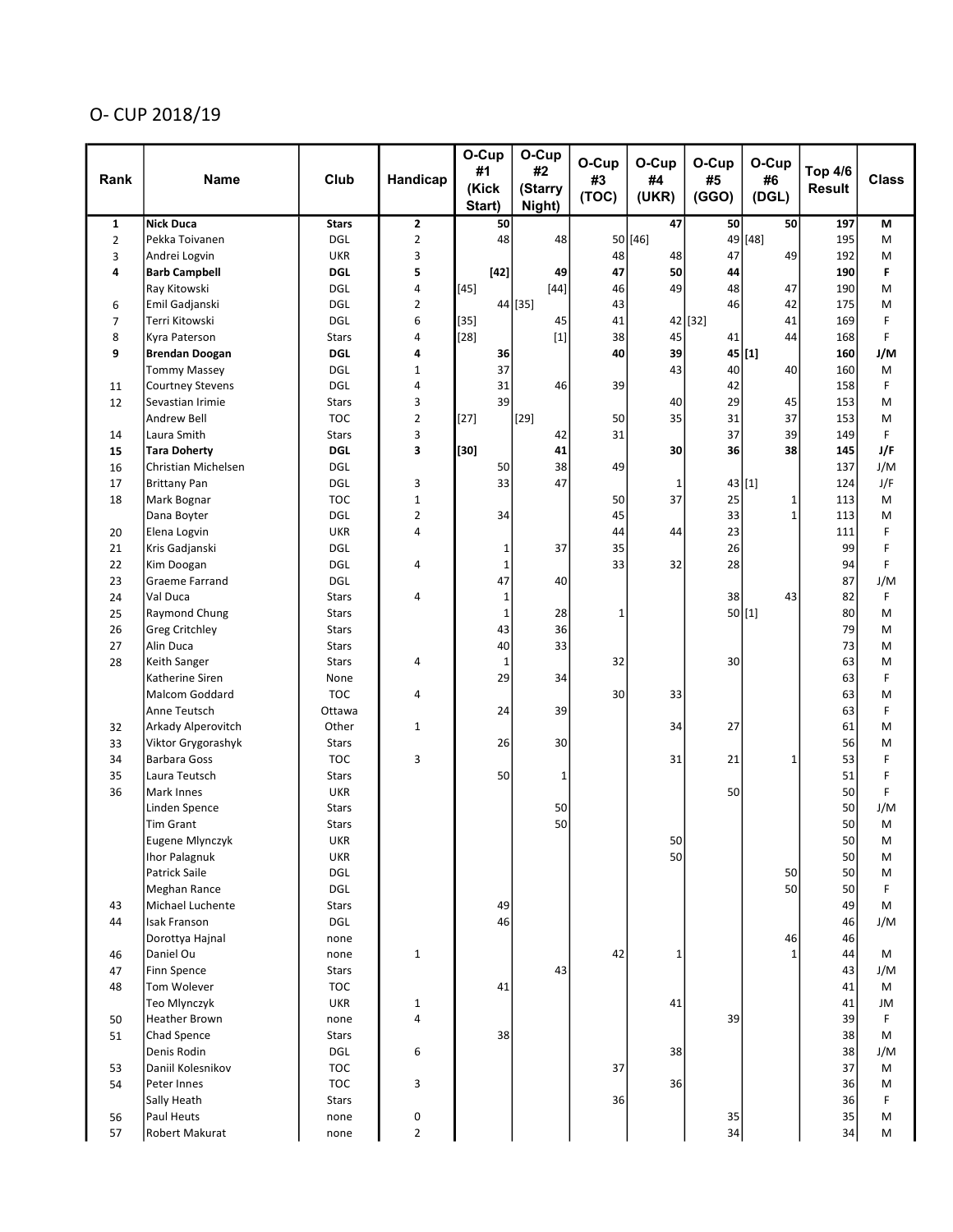## O- CUP 2018/19

|                |                                    |                            |                     | O-Cup<br>#1     | O-Cup<br>#2       | O-Cup       | O-Cup        | O-Cup       | O-Cup        | <b>Top 4/6</b> |              |
|----------------|------------------------------------|----------------------------|---------------------|-----------------|-------------------|-------------|--------------|-------------|--------------|----------------|--------------|
| Rank           | <b>Name</b>                        | Club                       | Handicap            | (Kick<br>Start) | (Starry<br>Night) | #3<br>(TOC) | #4<br>(UKR)  | #5<br>(GGO) | #6<br>(DGL)  | <b>Result</b>  | <b>Class</b> |
| $\mathbf{1}$   | <b>Nick Duca</b>                   | <b>Stars</b>               | $\mathbf{z}$        | 50              |                   |             | 47           | 50          | 50           | 197            | M            |
| $\overline{2}$ | Pekka Toivanen                     | DGL                        | $\overline{2}$      | 48              | 48                |             | 50 [46]      | 49          | $[48]$       | 195            | M            |
| 3              | Andrei Logvin                      | <b>UKR</b>                 | 3                   |                 |                   | 48          | 48           | 47          | 49           | 192            | M            |
| 4              | <b>Barb Campbell</b>               | <b>DGL</b>                 | 5                   | $[42]$          | 49                | 47          | 50           | 44          |              | 190            | F            |
|                | Ray Kitowski                       | <b>DGL</b>                 | 4                   | $[45]$          | $[44]$            | 46          | 49           | 48          | 47           | 190            | M            |
| 6              | Emil Gadjanski                     | <b>DGL</b>                 | $\overline{2}$      |                 | 44 [35]           | 43          |              | 46          | 42           | 175            | M            |
| 7              | Terri Kitowski                     | <b>DGL</b>                 | 6                   | $[35]$          | 45                | 41          |              | $42$ [32]   | 41           | 169            | F            |
| 8              | Kyra Paterson                      | <b>Stars</b>               | 4                   | $[28]$          | $[1]$             | 38          | 45           | 41          | 44           | 168            | F            |
| 9              | <b>Brendan Doogan</b>              | <b>DGL</b>                 | 4                   | 36              |                   | 40          | 39           | 45          | $[1]$        | 160            | J/M          |
|                | <b>Tommy Massey</b>                | <b>DGL</b>                 | $\mathbf{1}$        | 37              |                   |             | 43           | 40          | 40           | 160            | M            |
| 11             | <b>Courtney Stevens</b>            | <b>DGL</b>                 | 4                   | 31              | 46                | 39          |              | 42          |              | 158            | F            |
| 12             | Sevastian Irimie                   | <b>Stars</b>               | 3                   | 39              |                   |             | 40           | 29          | 45           | 153            | M            |
|                | Andrew Bell                        | <b>TOC</b>                 | $\overline{2}$<br>3 | $[27]$          | $[29]$            | 50<br>31    | 35           | 31<br>37    | 37<br>39     | 153<br>149     | M<br>F       |
| 14<br>15       | Laura Smith<br><b>Tara Doherty</b> | <b>Stars</b><br><b>DGL</b> | 3                   | $[30]$          | 42<br>41          |             | 30           | 36          | 38           | 145            | J/F          |
| 16             | Christian Michelsen                | <b>DGL</b>                 |                     | 50              | 38                | 49          |              |             |              | 137            | J/M          |
| 17             | <b>Brittany Pan</b>                | <b>DGL</b>                 | 3                   | 33              | 47                |             | 1            | $43$ [1]    |              | 124            | J/F          |
| 18             | Mark Bognar                        | <b>TOC</b>                 | $\mathbf{1}$        |                 |                   | 50          | 37           | 25          | 1            | 113            | M            |
|                | Dana Boyter                        | <b>DGL</b>                 | $\overline{2}$      | 34              |                   | 45          |              | 33          | $\mathbf{1}$ | 113            | M            |
| 20             | Elena Logvin                       | <b>UKR</b>                 | 4                   |                 |                   | 44          | 44           | 23          |              | 111            | F            |
| 21             | Kris Gadjanski                     | <b>DGL</b>                 |                     | 1               | 37                | 35          |              | 26          |              | 99             | F            |
| 22             | Kim Doogan                         | <b>DGL</b>                 | 4                   | 1               |                   | 33          | 32           | 28          |              | 94             | F            |
| 23             | Graeme Farrand                     | <b>DGL</b>                 |                     | 47              | 40                |             |              |             |              | 87             | J/M          |
| 24             | Val Duca                           | <b>Stars</b>               | 4                   | 1               |                   |             |              | 38          | 43           | 82             | F            |
| 25             | Raymond Chung                      | <b>Stars</b>               |                     | 1               | 28                | 1           |              |             | 50[1]        | 80             | M            |
| 26             | <b>Greg Critchley</b>              | <b>Stars</b>               |                     | 43              | 36                |             |              |             |              | 79             | M            |
| 27             | Alin Duca                          | <b>Stars</b>               |                     | 40              | 33                |             |              |             |              | 73             | M            |
| 28             | Keith Sanger                       | <b>Stars</b>               | 4                   | 1               |                   | 32          |              | 30          |              | 63             | M            |
|                | Katherine Siren                    | None                       |                     | 29              | 34                |             |              |             |              | 63             | F            |
|                | <b>Malcom Goddard</b>              | <b>TOC</b>                 | 4                   |                 |                   | 30          | 33           |             |              | 63             | M            |
|                | Anne Teutsch                       | Ottawa                     |                     | 24              | 39                |             |              |             |              | 63             | F            |
| 32             | Arkady Alperovitch                 | Other                      | $\mathbf{1}$        |                 |                   |             | 34           | 27          |              | 61             | M            |
| 33             | Viktor Grygorashyk                 | <b>Stars</b>               |                     | 26              | 30                |             |              |             |              | 56             | M            |
| 34             | <b>Barbara Goss</b>                | <b>TOC</b>                 | 3                   |                 |                   |             | 31           | 21          | 1            | 53             | F            |
| 35             | Laura Teutsch                      | <b>Stars</b>               |                     | 50              | 1                 |             |              |             |              | 51             | F            |
| 36             | Mark Innes                         | <b>UKR</b>                 |                     |                 |                   |             |              | 50          |              | 50             | F            |
|                | Linden Spence                      | <b>Stars</b>               |                     |                 | 50<br>50          |             |              |             |              | 50<br>50       | J/M          |
|                | <b>Tim Grant</b>                   | <b>Stars</b>               |                     |                 |                   |             | 50           |             |              | 50             | M<br>M       |
|                | Eugene Mlynczyk<br>Ihor Palagnuk   | <b>UKR</b><br><b>UKR</b>   |                     |                 |                   |             | 50           |             |              | 50             | M            |
|                | Patrick Saile                      | <b>DGL</b>                 |                     |                 |                   |             |              |             | 50           | 50             | M            |
|                | Meghan Rance                       | DGL                        |                     |                 |                   |             |              |             | 50           | 50             | F            |
| 43             | Michael Luchente                   | Stars                      |                     | 49              |                   |             |              |             |              | 49             | M            |
| 44             | <b>Isak Franson</b>                | DGL                        |                     | 46              |                   |             |              |             |              | 46             | J/M          |
|                | Dorottya Hajnal                    | none                       |                     |                 |                   |             |              |             | 46           | 46             |              |
| 46             | Daniel Ou                          | none                       | $\mathbf{1}$        |                 |                   | 42          | $\mathbf{1}$ |             | 1            | 44             | M            |
| 47             | Finn Spence                        | Stars                      |                     |                 | 43                |             |              |             |              | 43             | J/M          |
| 48             | Tom Wolever                        | <b>TOC</b>                 |                     | 41              |                   |             |              |             |              | 41             | M            |
|                | Teo Mlynczyk                       | <b>UKR</b>                 | 1                   |                 |                   |             | 41           |             |              | 41             | JM           |
| 50             | Heather Brown                      | none                       | 4                   |                 |                   |             |              | 39          |              | 39             | F            |
| 51             | Chad Spence                        | Stars                      |                     | 38              |                   |             |              |             |              | 38             | M            |
|                | Denis Rodin                        | DGL                        | 6                   |                 |                   |             | 38           |             |              | 38             | J/M          |
| 53             | Daniil Kolesnikov                  | <b>TOC</b>                 |                     |                 |                   | 37          |              |             |              | 37             | M            |
| 54             | Peter Innes                        | <b>TOC</b>                 | 3                   |                 |                   |             | 36           |             |              | 36             | M            |
|                | Sally Heath                        | Stars                      |                     |                 |                   | 36          |              |             |              | 36             | F            |
| 56             | Paul Heuts                         | none                       | 0                   |                 |                   |             |              | 35          |              | 35             | M            |
| 57             | Robert Makurat                     | none                       | $\overline{2}$      |                 |                   |             |              | 34          |              | 34             | M            |